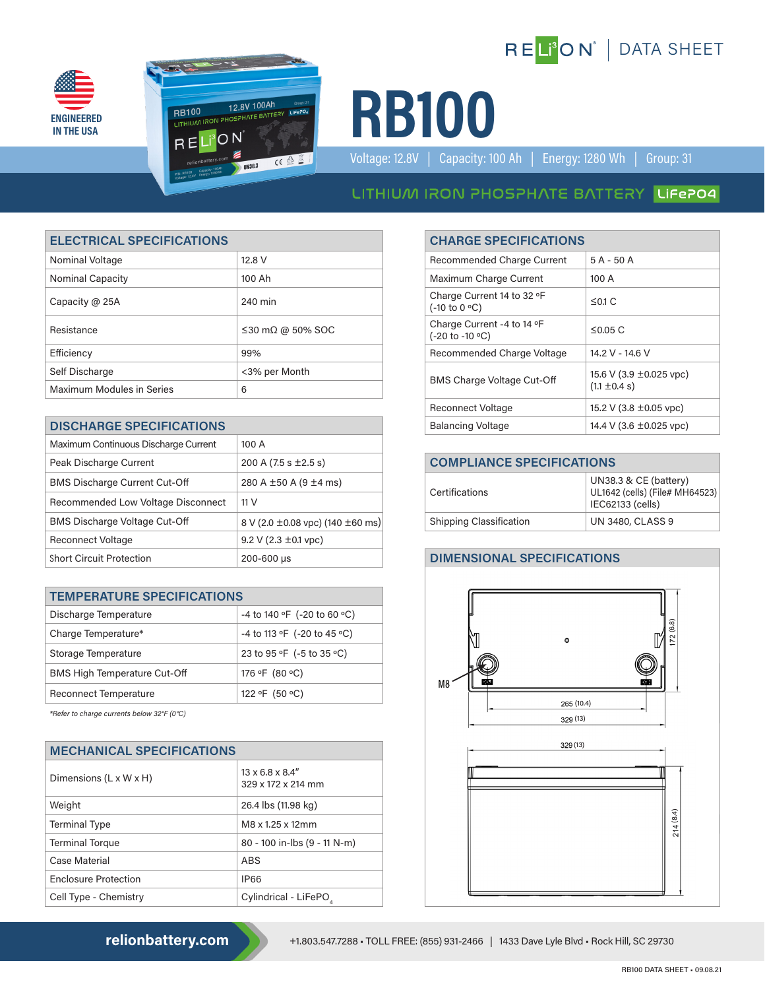





Voltage: 12.8V | Capacity: 100 Ah | Energy: 1280 Wh | Group: 31

# LITHIUM IRON PHOSPHATE BATTERY LIFEPO4

| <b>ELECTRICAL SPECIFICATIONS</b> |                                | <b>CHARGE SPECIFICATIONS</b>                  |                                                   |
|----------------------------------|--------------------------------|-----------------------------------------------|---------------------------------------------------|
| Nominal Voltage                  | 12.8 V                         | <b>Recommended Charge Current</b>             | $5A - 50A$                                        |
| <b>Nominal Capacity</b>          | 100 Ah                         | Maximum Charge Current                        | 100 A                                             |
| Capacity @ 25A                   | 240 min                        | Charge Current 14 to 32 °F<br>(-10 to 0 °C)   | $\leq$ 0.1 C                                      |
| Resistance                       | $\leq$ 30 m $\Omega$ @ 50% SOC | Charge Current -4 to 14 °F<br>(-20 to -10 °C) | $\leq$ 0.05 C                                     |
| Efficiency                       | 99%                            | Recommended Charge Voltage                    | 14.2 V - 14.6 V                                   |
| Self Discharge                   | <3% per Month                  | <b>BMS Charge Voltage Cut-Off</b>             | 15.6 V (3.9 $\pm$ 0.025 vpc)<br>$(1.1 \pm 0.4 s)$ |
| <b>Maximum Modules in Series</b> | 6                              |                                               |                                                   |

| <b>DISCHARGE SPECIFICATIONS</b>      |                                            |  | <b>Balancing Voltage</b>          | 14.4 V (3.6 ±0.025 vpc)                      |
|--------------------------------------|--------------------------------------------|--|-----------------------------------|----------------------------------------------|
| Maximum Continuous Discharge Current | 100 A                                      |  |                                   |                                              |
| Peak Discharge Current               | 200 A $(7.5 s \pm 2.5 s)$                  |  | <b>COMPLIANCE SPECIFICATIONS</b>  |                                              |
| <b>BMS Discharge Current Cut-Off</b> | 280 A ±50 A (9 ±4 ms)                      |  | Certifications                    | UN38.3 & CE (battery)                        |
| Recommended Low Voltage Disconnect   | 11 <sub>V</sub>                            |  |                                   | UL1642 (cells) (File# MH<br>IEC62133 (cells) |
| <b>BMS Discharge Voltage Cut-Off</b> | 8 V (2.0 $\pm$ 0.08 vpc) (140 $\pm$ 60 ms) |  | <b>Shipping Classification</b>    | <b>UN 3480, CLASS 9</b>                      |
| <b>Reconnect Voltage</b>             | 9.2 V (2.3 $\pm$ 0.1 vpc)                  |  |                                   |                                              |
| <b>Short Circuit Protection</b>      | 200-600 µs                                 |  | <b>DIMENSIONAL SPECIFICATIONS</b> |                                              |

| <b>TEMPERATURE SPECIFICATIONS</b>   |                             |  |
|-------------------------------------|-----------------------------|--|
| Discharge Temperature               | -4 to 140 °F (-20 to 60 °C) |  |
| Charge Temperature*                 | -4 to 113 °F (-20 to 45 °C) |  |
| Storage Temperature                 | 23 to 95 °F (-5 to 35 °C)   |  |
| <b>BMS High Temperature Cut-Off</b> | 176 °F (80 °C)              |  |
| <b>Reconnect Temperature</b>        | 122 °F (50 °C)              |  |

*\*Refer to charge currents below 32°F (0°C)*

| <b>MECHANICAL SPECIFICATIONS</b>   |                                                    |  |
|------------------------------------|----------------------------------------------------|--|
| Dimensions $(L \times W \times H)$ | $13 \times 6.8 \times 8.4$ "<br>329 x 172 x 214 mm |  |
| Weight                             | 26.4 lbs (11.98 kg)                                |  |
| <b>Terminal Type</b>               | M8 x 1.25 x 12mm                                   |  |
| <b>Terminal Torque</b>             | 80 - 100 in-lbs (9 - 11 N-m)                       |  |
| Case Material                      | ABS                                                |  |
| <b>Enclosure Protection</b>        | <b>IP66</b>                                        |  |
| Cell Type - Chemistry              | Cylindrical - LiFePO,                              |  |

### **ELECTRICAL SPECIFICATIONS CHARGE SPECIFICATIONS**

| <b>Recommended Charge Current</b>                                | $5A - 50A$                                   |
|------------------------------------------------------------------|----------------------------------------------|
| Maximum Charge Current                                           | 100 A                                        |
| Charge Current 14 to 32 °F<br>$(-10 \text{ to } 0 \text{ °C})$   | $\leq$ 0.1 C                                 |
| Charge Current -4 to 14 °F<br>$(-20 \text{ to } -10 \text{ °C})$ | $\leq$ 0.05 C                                |
| Recommended Charge Voltage                                       | 14.2 V - 14.6 V                              |
| <b>BMS Charge Voltage Cut-Off</b>                                | 15.6 V (3.9 ±0.025 vpc)<br>$(1.1 \pm 0.4 s)$ |
| <b>Reconnect Voltage</b>                                         | 15.2 V (3.8 $\pm$ 0.05 vpc)                  |
| <b>Balancing Voltage</b>                                         | 14.4 V (3.6 $\pm$ 0.025 vpc)                 |
|                                                                  |                                              |

| <b>COMPLIANCE SPECIFICATIONS</b> |                                                                             |  |
|----------------------------------|-----------------------------------------------------------------------------|--|
| Certifications                   | UN38.3 & CE (battery)<br>UL1642 (cells) (File# MH64523)<br>IEC62133 (cells) |  |
| <b>Shipping Classification</b>   | <b>UN 3480, CLASS 9</b>                                                     |  |

#### **DIMENSIONAL SPECIFICATIONS**